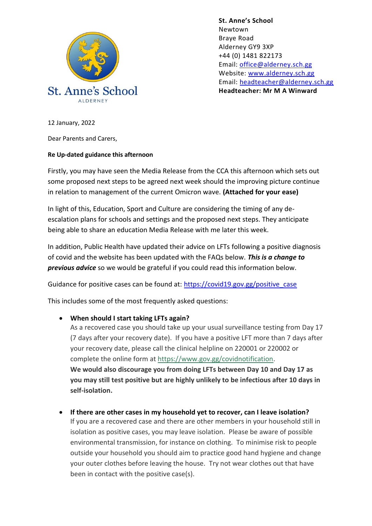

**St. Anne's School**  Newtown Braye Road Alderney GY9 3XP +44 (0) 1481 822173 Email: [office@alderney.sch.gg](mailto:office@alderney.sch.gg) Website: [www.alderney.sch.gg](http://www.alderney.sch.gg/) Email: [headteacher@alderney.sch.gg](mailto:headteacher@alderney.sch.gg) **Headteacher: Mr M A Winward**

12 January, 2022

Dear Parents and Carers,

## **Re Up-dated guidance this afternoon**

Firstly, you may have seen the Media Release from the CCA this afternoon which sets out some proposed next steps to be agreed next week should the improving picture continue in relation to management of the current Omicron wave. **(Attached for your ease)**

In light of this, Education, Sport and Culture are considering the timing of any deescalation plans for schools and settings and the proposed next steps. They anticipate being able to share an education Media Release with me later this week.

In addition, Public Health have updated their advice on LFTs following a positive diagnosis of covid and the website has been updated with the FAQs below. *This is a change to previous advice* so we would be grateful if you could read this information below.

Guidance for positive cases can be found at: [https://covid19.gov.gg/positive\\_case](https://covid19.gov.gg/positive_case)

This includes some of the most frequently asked questions:

**When should I start taking LFTs again?**

As a recovered case you should take up your usual surveillance testing from Day 17 (7 days after your recovery date). If you have a positive LFT more than 7 days after your recovery date, please call the clinical helpline on 220001 or 220002 or complete the online form at [https://www.gov.gg/covidnotification.](https://eur01.safelinks.protection.outlook.com/?url=https%3A%2F%2Fwww.gov.gg%2Fcovidnotification&data=04%7C01%7C%7C0c37efd138564bed910508d9d5f2768e%7Cf616125136194b9f84a5c925d93d6fc8%7C0%7C0%7C637776059633040751%7CUnknown%7CTWFpbGZsb3d8eyJWIjoiMC4wLjAwMDAiLCJQIjoiV2luMzIiLCJBTiI6Ik1haWwiLCJXVCI6Mn0%3D%7C3000&sdata=Kh7jp62ldrMHlyP2vZv2cWiiThlL0MJBg7fFdKk%2FvSs%3D&reserved=0) **We would also discourage you from doing LFTs between Day 10 and Day 17 as you may still test positive but are highly unlikely to be infectious after 10 days in self-isolation.**

 **If there are other cases in my household yet to recover, can I leave isolation?** If you are a recovered case and there are other members in your household still in isolation as positive cases, you may leave isolation. Please be aware of possible environmental transmission, for instance on clothing. To minimise risk to people outside your household you should aim to practice good hand hygiene and change your outer clothes before leaving the house. Try not wear clothes out that have been in contact with the positive case(s).